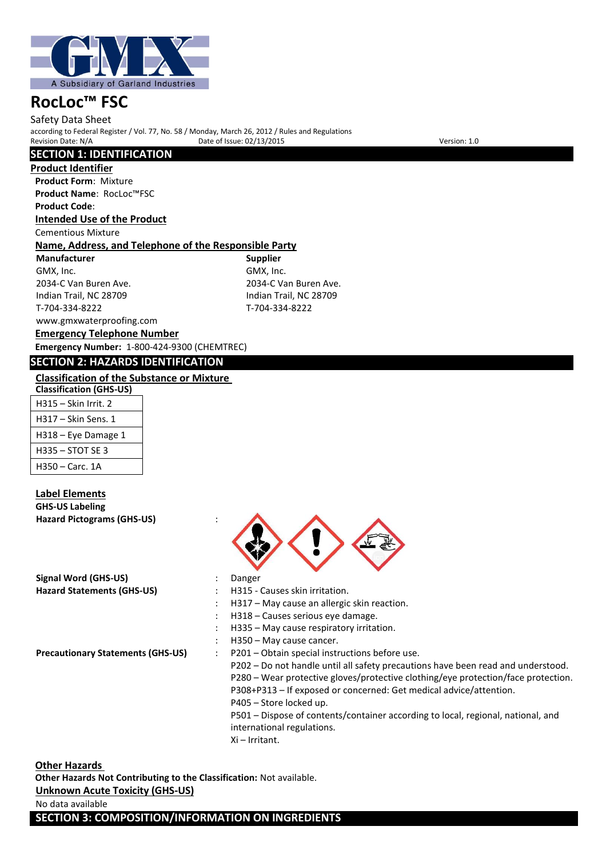

Safety Data Sheet according to Federal Register / Vol. 77, No. 58 / Monday, March 26, 2012 / Rules and Regulations Provide of Issue: 02/13/2015 Version: 1.0

# **SECTION 1: IDENTIFICATION**

**Product Identifier**

**Product Form**: Mixture **Product Name**: RocLoc™FSC **Product Code**: **Intended Use of the Product**

#### Cementious Mixture

#### **Name, Address, and Telephone of the Responsible Party**

**Manufacturer Supplier** GMX, Inc. GMX, Inc. COMX, Inc. COMX, Inc. COMX, Inc. COMX, Inc. COMX, Inc. COMX, Inc. COMX, Inc. COM

Indian Trail, NC 28709 Indian Trail, NC 28709 T-704-334-8222 T-704-334-8222

2034-C Van Buren Ave.

# www.gmxwaterproofing.com

**Emergency Telephone Number Emergency Number:** 1-800-424-9300 (CHEMTREC)

### **SECTION 2: HAZARDS IDENTIFICATION**

# **Classification of the Substance or Mixture**

| <b>Classification (GHS-US)</b> |
|--------------------------------|
| H315 – Skin Irrit. 2           |
| H317 – Skin Sens. 1            |
| H318 – Eye Damage 1            |
| H335 - STOT SF 3               |
| H350 - Carc. 1A                |

#### **Label Elements GHS-US Labeling Hazard Pictograms (GHS-US)** :

**Signal Word (GHS-US)** : Danger



- Hazard Statements (GHS-US) : H315 Causes skin irritation.
	- : H317 May cause an allergic skin reaction.
	- : H318 Causes serious eye damage.
	- : H335 May cause respiratory irritation.
	- H350 May cause cancer.
- **Precautionary Statements (GHS-US)** : P201 Obtain special instructions before use. P202 – Do not handle until all safety precautions have been read and understood. P280 – Wear protective gloves/protective clothing/eye protection/face protection. P308+P313 – If exposed or concerned: Get medical advice/attention. P405 – Store locked up. P501 – Dispose of contents/container according to local, regional, national, and international regulations.
	- Xi Irritant.

#### **Other Hazards**

**Other Hazards Not Contributing to the Classification:** Not available. **Unknown Acute Toxicity (GHS-US)**

#### No data available

**SECTION 3: COMPOSITION/INFORMATION ON INGREDIENTS**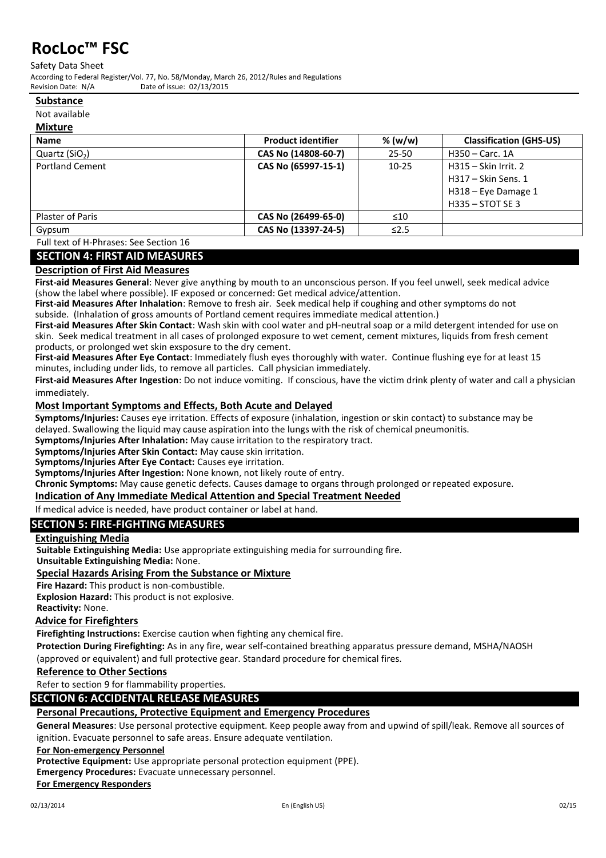Safety Data Sheet

According to Federal Register/Vol. 77, No. 58/Monday, March 26, 2012/Rules and Regulations Date of issue: 02/13/2015

#### **Substance**

Not available

#### **Mixture**

| <b>Name</b>            | <b>Product identifier</b> | % (w/w)    | <b>Classification (GHS-US)</b> |
|------------------------|---------------------------|------------|--------------------------------|
| Quartz $(SiO2)$        | CAS No (14808-60-7)       | $25 - 50$  | H350 - Carc. 1A                |
| <b>Portland Cement</b> | CAS No (65997-15-1)       | $10 - 25$  | H315 - Skin Irrit. 2           |
|                        |                           |            | H317 - Skin Sens. 1            |
|                        |                           |            | H318 - Eye Damage 1            |
|                        |                           |            | $H335 - STOTSE3$               |
| Plaster of Paris       | CAS No (26499-65-0)       | $\leq 10$  |                                |
| Gypsum                 | CAS No (13397-24-5)       | $\leq$ 2.5 |                                |

Full text of H-Phrases: See Section 16

### **SECTION 4: FIRST AID MEASURES**

#### **Description of First Aid Measures**

**First-aid Measures General**: Never give anything by mouth to an unconscious person. If you feel unwell, seek medical advice (show the label where possible). IF exposed or concerned: Get medical advice/attention.

**First-aid Measures After Inhalation**: Remove to fresh air. Seek medical help if coughing and other symptoms do not subside. (Inhalation of gross amounts of Portland cement requires immediate medical attention.)

**First-aid Measures After Skin Contact**: Wash skin with cool water and pH-neutral soap or a mild detergent intended for use on skin. Seek medical treatment in all cases of prolonged exposure to wet cement, cement mixtures, liquids from fresh cement products, or prolonged wet skin exsposure to the dry cement.

**First-aid Measures After Eye Contact**: Immediately flush eyes thoroughly with water. Continue flushing eye for at least 15 minutes, including under lids, to remove all particles. Call physician immediately.

**First-aid Measures After Ingestion**: Do not induce vomiting. If conscious, have the victim drink plenty of water and call a physician immediately.

#### **Most Important Symptoms and Effects, Both Acute and Delayed**

**Symptoms/Injuries:** Causes eye irritation. Effects of exposure (inhalation, ingestion or skin contact) to substance may be delayed. Swallowing the liquid may cause aspiration into the lungs with the risk of chemical pneumonitis.

**Symptoms/Injuries After Inhalation:** May cause irritation to the respiratory tract.

**Symptoms/Injuries After Skin Contact:** May cause skin irritation.

**Symptoms/Injuries After Eye Contact:** Causes eye irritation.

**Symptoms/Injuries After Ingestion:** None known, not likely route of entry.

**Chronic Symptoms:** May cause genetic defects. Causes damage to organs through prolonged or repeated exposure.

**Indication of Any Immediate Medical Attention and Special Treatment Needed**

If medical advice is needed, have product container or label at hand.

# **SECTION 5: FIRE-FIGHTING MEASURES**

#### **Extinguishing Media**

**Suitable Extinguishing Media:** Use appropriate extinguishing media for surrounding fire.

**Unsuitable Extinguishing Media:** None.

#### **Special Hazards Arising From the Substance or Mixture**

**Fire Hazard:** This product is non-combustible.

**Explosion Hazard:** This product is not explosive.

**Reactivity:** None.

#### **Advice for Firefighters**

**Firefighting Instructions:** Exercise caution when fighting any chemical fire.

**Protection During Firefighting:** As in any fire, wear self-contained breathing apparatus pressure demand, MSHA/NAOSH (approved or equivalent) and full protective gear. Standard procedure for chemical fires.

#### **Reference to Other Sections**

Refer to section 9 for flammability properties.

#### **SECTION 6: ACCIDENTAL RELEASE MEASURES**

# **Personal Precautions, Protective Equipment and Emergency Procedures**

**General Measures**: Use personal protective equipment. Keep people away from and upwind of spill/leak. Remove all sources of ignition. Evacuate personnel to safe areas. Ensure adequate ventilation.

**For Non-emergency Personnel**

**Protective Equipment:** Use appropriate personal protection equipment (PPE).

**Emergency Procedures:** Evacuate unnecessary personnel.

**For Emergency Responders**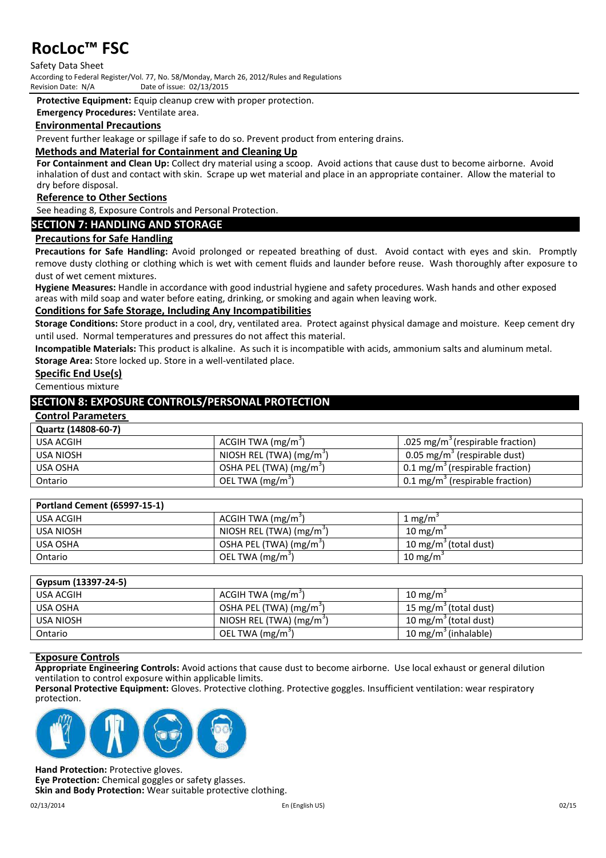Safety Data Sheet According to Federal Register/Vol. 77, No. 58/Monday, March 26, 2012/Rules and Regulations Date of issue: 02/13/2015

**Protective Equipment:** Equip cleanup crew with proper protection.

**Emergency Procedures:** Ventilate area.

#### **Environmental Precautions**

Prevent further leakage or spillage if safe to do so. Prevent product from entering drains.

#### **Methods and Material for Containment and Cleaning Up**

**For Containment and Clean Up:** Collect dry material using a scoop. Avoid actions that cause dust to become airborne. Avoid inhalation of dust and contact with skin. Scrape up wet material and place in an appropriate container. Allow the material to dry before disposal.

#### **Reference to Other Sections**

See heading 8, Exposure Controls and Personal Protection.

#### **SECTION 7: HANDLING AND STORAGE**

#### **Precautions for Safe Handling**

**Precautions for Safe Handling:** Avoid prolonged or repeated breathing of dust. Avoid contact with eyes and skin. Promptly remove dusty clothing or clothing which is wet with cement fluids and launder before reuse. Wash thoroughly after exposure to dust of wet cement mixtures.

**Hygiene Measures:** Handle in accordance with good industrial hygiene and safety procedures. Wash hands and other exposed areas with mild soap and water before eating, drinking, or smoking and again when leaving work.

#### **Conditions for Safe Storage, Including Any Incompatibilities**

**Storage Conditions:** Store product in a cool, dry, ventilated area. Protect against physical damage and moisture. Keep cement dry until used. Normal temperatures and pressures do not affect this material.

**Incompatible Materials:** This product is alkaline. As such it is incompatible with acids, ammonium salts and aluminum metal.

**Storage Area:** Store locked up. Store in a well-ventilated place.

# **Specific End Use(s)**

Cementious mixture

### **SECTION 8: EXPOSURE CONTROLS/PERSONAL PROTECTION**

#### **Control Parameters**

#### **Quartz (14808-60-7)**

| USA ACGIH | ACGIH TWA (mg/m <sup>3</sup> )      | .025 mg/m <sup>3</sup> (respirable fraction) |
|-----------|-------------------------------------|----------------------------------------------|
| USA NIOSH | NIOSH REL (TWA) $(mg/m3)$           | 0.05 mg/m <sup>3</sup> (respirable dust)     |
| USA OSHA  | OSHA PEL (TWA) (mg/m <sup>3</sup> ) | 0.1 mg/m <sup>3</sup> (respirable fraction)  |
| Ontario   | OEL TWA (mg/m <sup>3</sup> )        | $0.1 \text{ mg/m}^3$ (respirable fraction)   |

| <b>Portland Cement (65997-15-1)</b> |                                      |                                   |
|-------------------------------------|--------------------------------------|-----------------------------------|
| USA ACGIH                           | ACGIH TWA (mg/m <sup>3</sup> )       | 1 mg/m $\degree$                  |
| USA NIOSH                           | NIOSH REL (TWA) (mg/m <sup>3</sup> ) | $10 \text{ mg/m}$                 |
| USA OSHA                            | OSHA PEL (TWA) (mg/m <sup>3</sup> )  | 10 mg/m <sup>3</sup> (total dust) |
| Ontario                             | OEL TWA (mg/m <sup>3</sup> )         | 10 mg/m <sup>3</sup>              |

| 15 mg/m <sup>3</sup> (total dust) |
|-----------------------------------|
| 10 mg/m <sup>3</sup> (total dust) |
| 10 mg/m $\degree$ (inhalable)     |
|                                   |

#### **Exposure Controls**

**Appropriate Engineering Controls:** Avoid actions that cause dust to become airborne. Use local exhaust or general dilution ventilation to control exposure within applicable limits.

**Personal Protective Equipment:** Gloves. Protective clothing. Protective goggles. Insufficient ventilation: wear respiratory protection.



**Hand Protection:** Protective gloves. **Eye Protection:** Chemical goggles or safety glasses. **Skin and Body Protection:** Wear suitable protective clothing.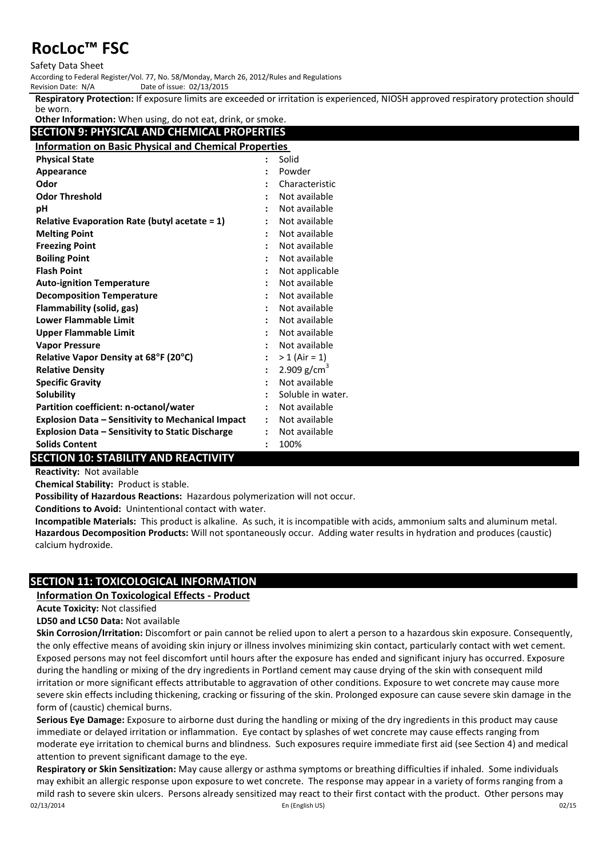#### Safety Data Sheet

According to Federal Register/Vol. 77, No. 58/Monday, March 26, 2012/Rules and Regulations

Date of issue: 02/13/2015

**Respiratory Protection:** If exposure limits are exceeded or irritation is experienced, NIOSH approved respiratory protection should be worn.

**Other Information:** When using, do not eat, drink, or smoke.

|  |  |  |  | SECTION 9: PHYSICAL AND CHEMICAL PROPERTIES |  |  |
|--|--|--|--|---------------------------------------------|--|--|
|  |  |  |  |                                             |  |  |

| <b>Information on Basic Physical and Chemical Properties</b> |                |                   |  |  |
|--------------------------------------------------------------|----------------|-------------------|--|--|
| <b>Physical State</b>                                        |                | Solid             |  |  |
| Appearance                                                   |                | Powder            |  |  |
| Odor                                                         |                | Characteristic    |  |  |
| <b>Odor Threshold</b>                                        |                | Not available     |  |  |
| рH                                                           |                | Not available     |  |  |
| Relative Evaporation Rate (butyl acetate = 1)                |                | Not available     |  |  |
| <b>Melting Point</b>                                         |                | Not available     |  |  |
| <b>Freezing Point</b>                                        |                | Not available     |  |  |
| <b>Boiling Point</b>                                         |                | Not available     |  |  |
| <b>Flash Point</b>                                           |                | Not applicable    |  |  |
| <b>Auto-ignition Temperature</b>                             | $\ddot{\cdot}$ | Not available     |  |  |
| <b>Decomposition Temperature</b>                             |                | Not available     |  |  |
| <b>Flammability (solid, gas)</b>                             |                | Not available     |  |  |
| <b>Lower Flammable Limit</b>                                 |                | Not available     |  |  |
| <b>Upper Flammable Limit</b>                                 |                | Not available     |  |  |
| <b>Vapor Pressure</b>                                        |                | Not available     |  |  |
| Relative Vapor Density at 68°F (20°C)                        |                | $> 1$ (Air = 1)   |  |  |
| <b>Relative Density</b>                                      |                | 2.909 $g/cm^{3}$  |  |  |
| <b>Specific Gravity</b>                                      |                | Not available     |  |  |
| Solubility                                                   |                | Soluble in water. |  |  |
| Partition coefficient: n-octanol/water                       |                | Not available     |  |  |
| <b>Explosion Data - Sensitivity to Mechanical Impact</b>     | $\mathbf{L}$   | Not available     |  |  |
| <b>Explosion Data - Sensitivity to Static Discharge</b>      | $\ddot{\cdot}$ | Not available     |  |  |
| <b>Solids Content</b>                                        |                | 100%              |  |  |

# **SECTION 10: STABILITY AND REACTIVITY**

**Reactivity:** Not available

**Chemical Stability:** Product is stable.

**Possibility of Hazardous Reactions:** Hazardous polymerization will not occur.

**Conditions to Avoid:** Unintentional contact with water.

**Incompatible Materials:** This product is alkaline. As such, it is incompatible with acids, ammonium salts and aluminum metal. **Hazardous Decomposition Products:** Will not spontaneously occur. Adding water results in hydration and produces (caustic) calcium hydroxide.

# **SECTION 11: TOXICOLOGICAL INFORMATION**

### **Information On Toxicological Effects - Product**

#### **Acute Toxicity:** Not classified

**LD50 and LC50 Data:** Not available

**Skin Corrosion/Irritation:** Discomfort or pain cannot be relied upon to alert a person to a hazardous skin exposure. Consequently, the only effective means of avoiding skin injury or illness involves minimizing skin contact, particularly contact with wet cement. Exposed persons may not feel discomfort until hours after the exposure has ended and significant injury has occurred. Exposure during the handling or mixing of the dry ingredients in Portland cement may cause drying of the skin with consequent mild irritation or more significant effects attributable to aggravation of other conditions. Exposure to wet concrete may cause more severe skin effects including thickening, cracking or fissuring of the skin. Prolonged exposure can cause severe skin damage in the form of (caustic) chemical burns.

**Serious Eye Damage:** Exposure to airborne dust during the handling or mixing of the dry ingredients in this product may cause immediate or delayed irritation or inflammation. Eye contact by splashes of wet concrete may cause effects ranging from moderate eye irritation to chemical burns and blindness. Such exposures require immediate first aid (see Section 4) and medical attention to prevent significant damage to the eye.

02/13/2014 En (English US) 02/15 **Respiratory or Skin Sensitization:** May cause allergy or asthma symptoms or breathing difficulties if inhaled. Some individuals may exhibit an allergic response upon exposure to wet concrete. The response may appear in a variety of forms ranging from a mild rash to severe skin ulcers. Persons already sensitized may react to their first contact with the product. Other persons may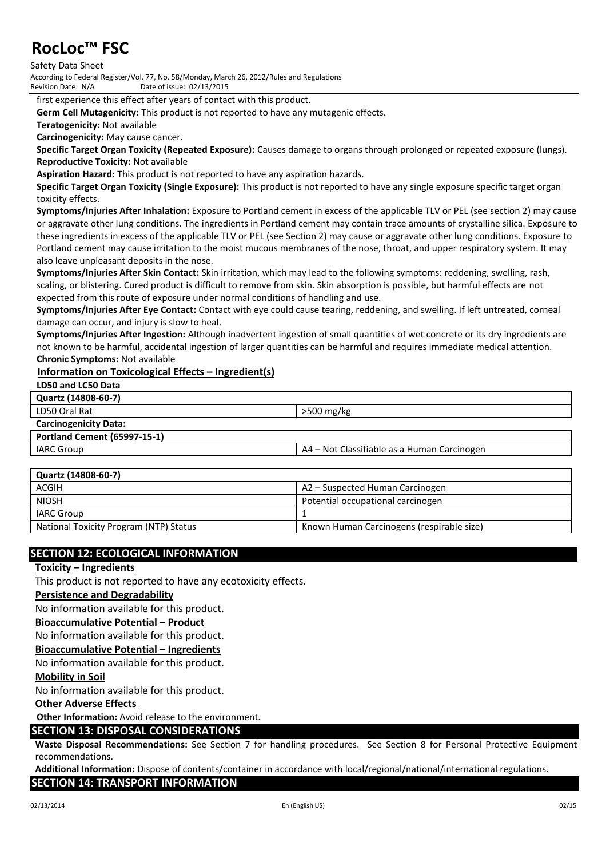Safety Data Sheet

According to Federal Register/Vol. 77, No. 58/Monday, March 26, 2012/Rules and Regulations Date of issue: 02/13/2015

first experience this effect after years of contact with this product.

**Germ Cell Mutagenicity:** This product is not reported to have any mutagenic effects.

**Teratogenicity:** Not available

**Carcinogenicity:** May cause cancer.

**Specific Target Organ Toxicity (Repeated Exposure):** Causes damage to organs through prolonged or repeated exposure (lungs). **Reproductive Toxicity:** Not available

**Aspiration Hazard:** This product is not reported to have any aspiration hazards.

**Specific Target Organ Toxicity (Single Exposure):** This product is not reported to have any single exposure specific target organ toxicity effects.

**Symptoms/Injuries After Inhalation:** Exposure to Portland cement in excess of the applicable TLV or PEL (see section 2) may cause or aggravate other lung conditions. The ingredients in Portland cement may contain trace amounts of crystalline silica. Exposure to these ingredients in excess of the applicable TLV or PEL (see Section 2) may cause or aggravate other lung conditions. Exposure to Portland cement may cause irritation to the moist mucous membranes of the nose, throat, and upper respiratory system. It may also leave unpleasant deposits in the nose.

**Symptoms/Injuries After Skin Contact:** Skin irritation, which may lead to the following symptoms: reddening, swelling, rash, scaling, or blistering. Cured product is difficult to remove from skin. Skin absorption is possible, but harmful effects are not expected from this route of exposure under normal conditions of handling and use.

**Symptoms/Injuries After Eye Contact:** Contact with eye could cause tearing, reddening, and swelling. If left untreated, corneal damage can occur, and injury is slow to heal.

**Symptoms/Injuries After Ingestion:** Although inadvertent ingestion of small quantities of wet concrete or its dry ingredients are not known to be harmful, accidental ingestion of larger quantities can be harmful and requires immediate medical attention. **Chronic Symptoms:** Not available

#### **Information on Toxicological Effects – Ingredient(s)**

#### **LD50 and LC50 Data**

**Quartz (14808-60-7)**

| LD50 Oral Rat |
|---------------|
|---------------|

#### **Carcinogenicity Data:**

# **Portland Cement (65997-15-1)**

IARC Group A4 – Not Classifiable as a Human Carcinogen

 $>500$  mg/kg

| Quartz (14808-60-7)                    |                                           |
|----------------------------------------|-------------------------------------------|
| ACGIH                                  | A2 – Suspected Human Carcinogen           |
| <b>NIOSH</b>                           | Potential occupational carcinogen         |
| IARC Group                             |                                           |
| National Toxicity Program (NTP) Status | Known Human Carcinogens (respirable size) |

### **SECTION 12: ECOLOGICAL INFORMATION**

#### **Toxicity – Ingredients**

This product is not reported to have any ecotoxicity effects.

#### **Persistence and Degradability**

No information available for this product.

#### **Bioaccumulative Potential – Product**

No information available for this product.

#### **Bioaccumulative Potential – Ingredients**

No information available for this product.

#### **Mobility in Soil**

No information available for this product.

#### **Other Adverse Effects**

**Other Information:** Avoid release to the environment.

#### **SECTION 13: DISPOSAL CONSIDERATIONS**

**Waste Disposal Recommendations:** See Section 7 for handling procedures. See Section 8 for Personal Protective Equipment recommendations.

**Additional Information:** Dispose of contents/container in accordance with local/regional/national/international regulations.

#### **SECTION 14: TRANSPORT INFORMATION**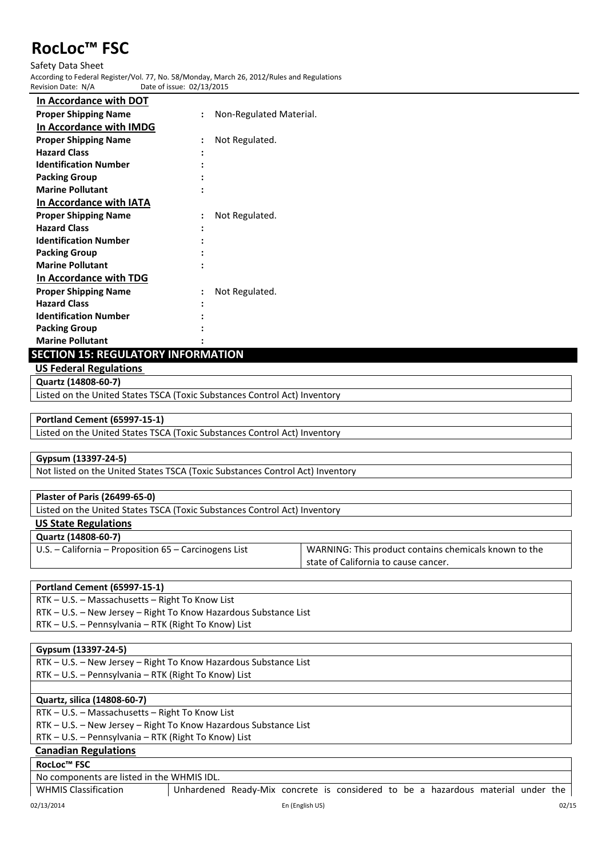Safety Data Sheet According to Federal Register/Vol. 77, No. 58/Monday, March 26, 2012/Rules and Regulations Date of issue: 02/13/2015

| In Accordance with DOT       |                |                         |
|------------------------------|----------------|-------------------------|
| <b>Proper Shipping Name</b>  | $\ddot{\cdot}$ | Non-Regulated Material. |
| In Accordance with IMDG      |                |                         |
| <b>Proper Shipping Name</b>  |                | Not Regulated.          |
| <b>Hazard Class</b>          |                |                         |
| <b>Identification Number</b> |                |                         |
| <b>Packing Group</b>         |                |                         |
| <b>Marine Pollutant</b>      |                |                         |
| In Accordance with IATA      |                |                         |
| <b>Proper Shipping Name</b>  | $\ddot{\cdot}$ | Not Regulated.          |
| <b>Hazard Class</b>          |                |                         |
| <b>Identification Number</b> |                |                         |
| <b>Packing Group</b>         |                |                         |
| <b>Marine Pollutant</b>      |                |                         |
| In Accordance with TDG       |                |                         |
| <b>Proper Shipping Name</b>  | $\ddot{\cdot}$ | Not Regulated.          |
| <b>Hazard Class</b>          |                |                         |
| <b>Identification Number</b> |                |                         |
| <b>Packing Group</b>         |                |                         |
| <b>Marine Pollutant</b>      |                |                         |

# **SECTION 15: REGULATORY INFORMATION**

**US Federal Regulations** 

**Quartz (14808-60-7)**

Listed on the United States TSCA (Toxic Substances Control Act) Inventory

#### **Portland Cement (65997-15-1)**

Listed on the United States TSCA (Toxic Substances Control Act) Inventory

#### **Gypsum (13397-24-5)**

Not listed on the United States TSCA (Toxic Substances Control Act) Inventory

#### **Plaster of Paris (26499-65-0)**

Listed on the United States TSCA (Toxic Substances Control Act) Inventory

#### **US State Regulations**

#### **Quartz (14808-60-7)**

U.S. – California – Proposition 65 – Carcinogens List WARNING: This product contains chemicals known to the state of California to cause cancer.

#### **Portland Cement (65997-15-1)**

RTK – U.S. – Massachusetts – Right To Know List RTK – U.S. – New Jersey – Right To Know Hazardous Substance List RTK – U.S. – Pennsylvania – RTK (Right To Know) List

#### **Gypsum (13397-24-5)**

RTK – U.S. – New Jersey – Right To Know Hazardous Substance List RTK – U.S. – Pennsylvania – RTK (Right To Know) List

#### **Quartz, silica (14808-60-7)**

RTK – U.S. – Massachusetts – Right To Know List

RTK – U.S. – New Jersey – Right To Know Hazardous Substance List

RTK – U.S. – Pennsylvania – RTK (Right To Know) List

# **Canadian Regulations**

### **RocLoc™ FSC**

No components are listed in the WHMIS IDL.